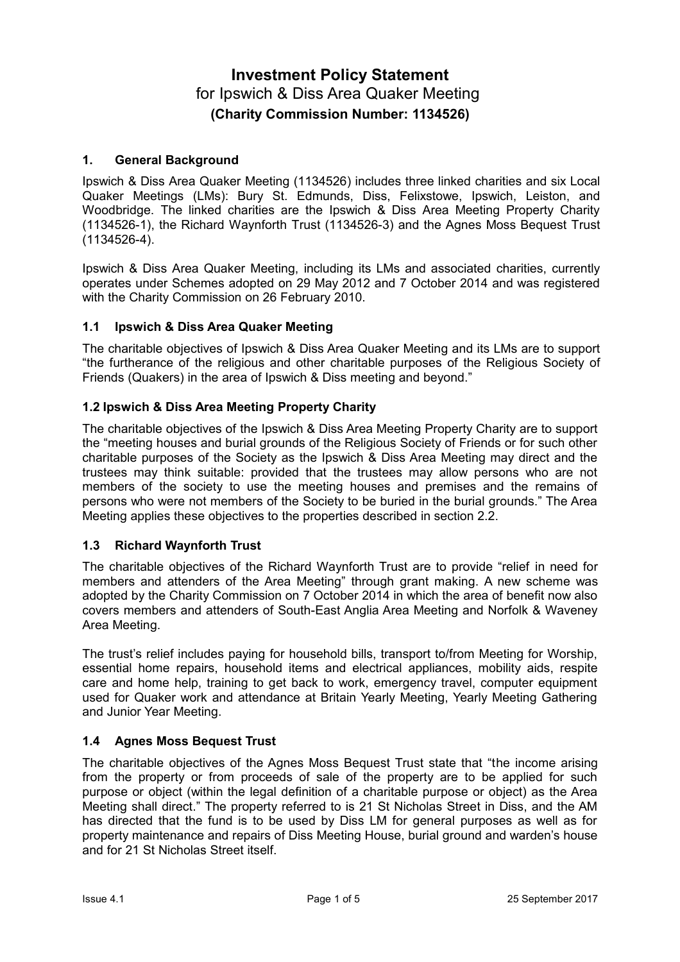# **Investment Policy Statement** for Ipswich & Diss Area Quaker Meeting **(Charity Commission Number: 1134526)**

# **1. General Background**

Ipswich & Diss Area Quaker Meeting (1134526) includes three linked charities and six Local Quaker Meetings (LMs): Bury St. Edmunds, Diss, Felixstowe, Ipswich, Leiston, and Woodbridge. The linked charities are the Ipswich & Diss Area Meeting Property Charity (1134526-1), the Richard Waynforth Trust (1134526-3) and the Agnes Moss Bequest Trust (1134526-4).

Ipswich & Diss Area Quaker Meeting, including its LMs and associated charities, currently operates under Schemes adopted on 29 May 2012 and 7 October 2014 and was registered with the Charity Commission on 26 February 2010.

# **1.1 Ipswich & Diss Area Quaker Meeting**

The charitable objectives of Ipswich & Diss Area Quaker Meeting and its LMs are to support "the furtherance of the religious and other charitable purposes of the Religious Society of Friends (Quakers) in the area of Ipswich & Diss meeting and beyond."

# **1.2 Ipswich & Diss Area Meeting Property Charity**

The charitable objectives of the Ipswich & Diss Area Meeting Property Charity are to support the "meeting houses and burial grounds of the Religious Society of Friends or for such other charitable purposes of the Society as the Ipswich & Diss Area Meeting may direct and the trustees may think suitable: provided that the trustees may allow persons who are not members of the society to use the meeting houses and premises and the remains of persons who were not members of the Society to be buried in the burial grounds." The Area Meeting applies these objectives to the properties described in section 2.2.

# **1.3 Richard Waynforth Trust**

The charitable objectives of the Richard Waynforth Trust are to provide "relief in need for members and attenders of the Area Meeting" through grant making. A new scheme was adopted by the Charity Commission on 7 October 2014 in which the area of benefit now also covers members and attenders of South-East Anglia Area Meeting and Norfolk & Waveney Area Meeting.

The trust's relief includes paying for household bills, transport to/from Meeting for Worship, essential home repairs, household items and electrical appliances, mobility aids, respite care and home help, training to get back to work, emergency travel, computer equipment used for Quaker work and attendance at Britain Yearly Meeting, Yearly Meeting Gathering and Junior Year Meeting.

# **1.4 Agnes Moss Bequest Trust**

The charitable objectives of the Agnes Moss Bequest Trust state that "the income arising from the property or from proceeds of sale of the property are to be applied for such purpose or object (within the legal definition of a charitable purpose or object) as the Area Meeting shall direct." The property referred to is 21 St Nicholas Street in Diss, and the AM has directed that the fund is to be used by Diss LM for general purposes as well as for property maintenance and repairs of Diss Meeting House, burial ground and warden's house and for 21 St Nicholas Street itself.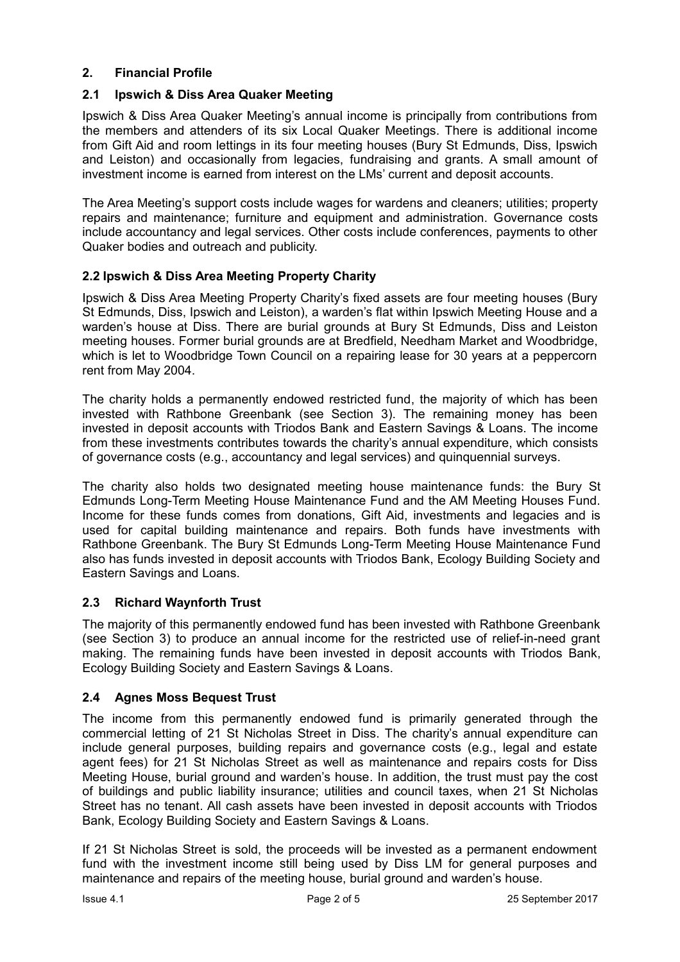# **2. Financial Profile**

# **2.1 Ipswich & Diss Area Quaker Meeting**

Ipswich & Diss Area Quaker Meeting's annual income is principally from contributions from the members and attenders of its six Local Quaker Meetings. There is additional income from Gift Aid and room lettings in its four meeting houses (Bury St Edmunds, Diss, Ipswich and Leiston) and occasionally from legacies, fundraising and grants. A small amount of investment income is earned from interest on the LMs' current and deposit accounts.

The Area Meeting's support costs include wages for wardens and cleaners; utilities; property repairs and maintenance; furniture and equipment and administration. Governance costs include accountancy and legal services. Other costs include conferences, payments to other Quaker bodies and outreach and publicity.

# **2.2 Ipswich & Diss Area Meeting Property Charity**

Ipswich & Diss Area Meeting Property Charity's fixed assets are four meeting houses (Bury St Edmunds, Diss, Ipswich and Leiston), a warden's flat within Ipswich Meeting House and a warden's house at Diss. There are burial grounds at Bury St Edmunds, Diss and Leiston meeting houses. Former burial grounds are at Bredfield, Needham Market and Woodbridge, which is let to Woodbridge Town Council on a repairing lease for 30 years at a peppercorn rent from May 2004.

The charity holds a permanently endowed restricted fund, the majority of which has been invested with Rathbone Greenbank (see Section 3). The remaining money has been invested in deposit accounts with Triodos Bank and Eastern Savings & Loans. The income from these investments contributes towards the charity's annual expenditure, which consists of governance costs (e.g., accountancy and legal services) and quinquennial surveys.

The charity also holds two designated meeting house maintenance funds: the Bury St Edmunds Long-Term Meeting House Maintenance Fund and the AM Meeting Houses Fund. Income for these funds comes from donations, Gift Aid, investments and legacies and is used for capital building maintenance and repairs. Both funds have investments with Rathbone Greenbank. The Bury St Edmunds Long-Term Meeting House Maintenance Fund also has funds invested in deposit accounts with Triodos Bank, Ecology Building Society and Eastern Savings and Loans.

# **2.3 Richard Waynforth Trust**

The majority of this permanently endowed fund has been invested with Rathbone Greenbank (see Section 3) to produce an annual income for the restricted use of relief-in-need grant making. The remaining funds have been invested in deposit accounts with Triodos Bank, Ecology Building Society and Eastern Savings & Loans.

# **2.4 Agnes Moss Bequest Trust**

The income from this permanently endowed fund is primarily generated through the commercial letting of 21 St Nicholas Street in Diss. The charity's annual expenditure can include general purposes, building repairs and governance costs (e.g., legal and estate agent fees) for 21 St Nicholas Street as well as maintenance and repairs costs for Diss Meeting House, burial ground and warden's house. In addition, the trust must pay the cost of buildings and public liability insurance; utilities and council taxes, when 21 St Nicholas Street has no tenant. All cash assets have been invested in deposit accounts with Triodos Bank, Ecology Building Society and Eastern Savings & Loans.

If 21 St Nicholas Street is sold, the proceeds will be invested as a permanent endowment fund with the investment income still being used by Diss LM for general purposes and maintenance and repairs of the meeting house, burial ground and warden's house.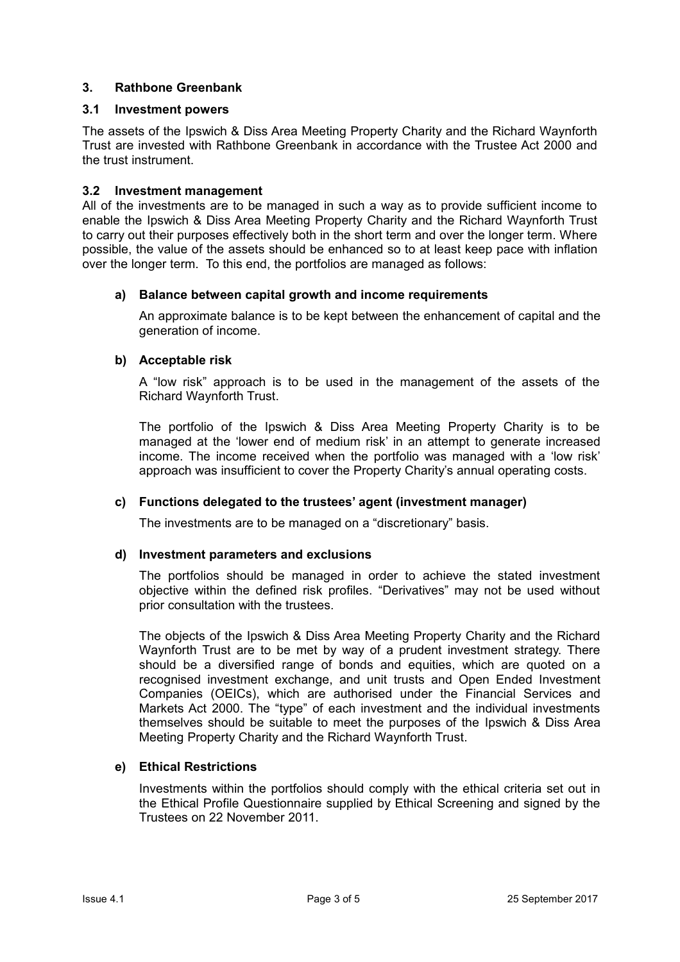# **3. Rathbone Greenbank**

## **3.1 Investment powers**

The assets of the Ipswich & Diss Area Meeting Property Charity and the Richard Waynforth Trust are invested with Rathbone Greenbank in accordance with the Trustee Act 2000 and the trust instrument.

## **3.2 Investment management**

All of the investments are to be managed in such a way as to provide sufficient income to enable the Ipswich & Diss Area Meeting Property Charity and the Richard Waynforth Trust to carry out their purposes effectively both in the short term and over the longer term. Where possible, the value of the assets should be enhanced so to at least keep pace with inflation over the longer term. To this end, the portfolios are managed as follows:

# **a) Balance between capital growth and income requirements**

An approximate balance is to be kept between the enhancement of capital and the generation of income.

### **b) Acceptable risk**

A "low risk" approach is to be used in the management of the assets of the Richard Waynforth Trust.

The portfolio of the Ipswich & Diss Area Meeting Property Charity is to be managed at the 'lower end of medium risk' in an attempt to generate increased income. The income received when the portfolio was managed with a 'low risk' approach was insufficient to cover the Property Charity's annual operating costs.

#### **c) Functions delegated to the trustees' agent (investment manager)**

The investments are to be managed on a "discretionary" basis.

#### **d) Investment parameters and exclusions**

The portfolios should be managed in order to achieve the stated investment objective within the defined risk profiles. "Derivatives" may not be used without prior consultation with the trustees.

The objects of the Ipswich & Diss Area Meeting Property Charity and the Richard Waynforth Trust are to be met by way of a prudent investment strategy. There should be a diversified range of bonds and equities, which are quoted on a recognised investment exchange, and unit trusts and Open Ended Investment Companies (OEICs), which are authorised under the Financial Services and Markets Act 2000. The "type" of each investment and the individual investments themselves should be suitable to meet the purposes of the Ipswich & Diss Area Meeting Property Charity and the Richard Waynforth Trust.

#### **e) Ethical Restrictions**

Investments within the portfolios should comply with the ethical criteria set out in the Ethical Profile Questionnaire supplied by Ethical Screening and signed by the Trustees on 22 November 2011.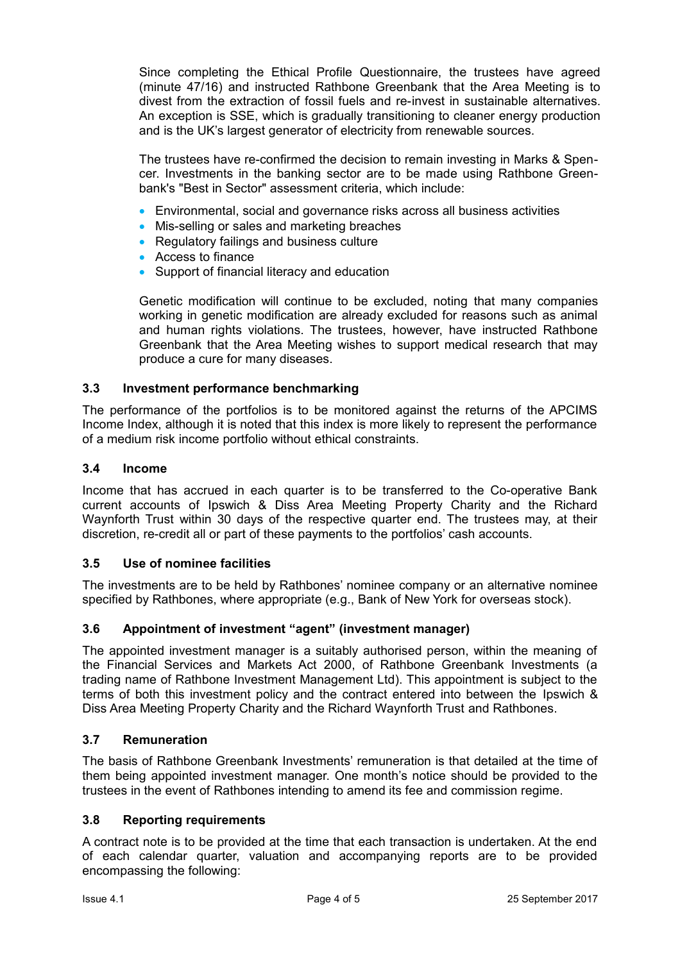Since completing the Ethical Profile Questionnaire, the trustees have agreed (minute 47/16) and instructed Rathbone Greenbank that the Area Meeting is to divest from the extraction of fossil fuels and re-invest in sustainable alternatives. An exception is SSE, which is gradually transitioning to cleaner energy production and is the UK's largest generator of electricity from renewable sources.

The trustees have re-confirmed the decision to remain investing in Marks & Spencer. Investments in the banking sector are to be made using Rathbone Greenbank's "Best in Sector" assessment criteria, which include:

- Environmental, social and governance risks across all business activities
- Mis-selling or sales and marketing breaches
- Regulatory failings and business culture
- Access to finance
- Support of financial literacy and education

Genetic modification will continue to be excluded, noting that many companies working in genetic modification are already excluded for reasons such as animal and human rights violations. The trustees, however, have instructed Rathbone Greenbank that the Area Meeting wishes to support medical research that may produce a cure for many diseases.

# **3.3 Investment performance benchmarking**

The performance of the portfolios is to be monitored against the returns of the APCIMS Income Index, although it is noted that this index is more likely to represent the performance of a medium risk income portfolio without ethical constraints.

# **3.4 Income**

Income that has accrued in each quarter is to be transferred to the Co-operative Bank current accounts of Ipswich & Diss Area Meeting Property Charity and the Richard Waynforth Trust within 30 days of the respective quarter end. The trustees may, at their discretion, re-credit all or part of these payments to the portfolios' cash accounts.

# **3.5 Use of nominee facilities**

The investments are to be held by Rathbones' nominee company or an alternative nominee specified by Rathbones, where appropriate (e.g., Bank of New York for overseas stock).

# **3.6 Appointment of investment "agent" (investment manager)**

The appointed investment manager is a suitably authorised person, within the meaning of the Financial Services and Markets Act 2000, of Rathbone Greenbank Investments (a trading name of Rathbone Investment Management Ltd). This appointment is subject to the terms of both this investment policy and the contract entered into between the Ipswich & Diss Area Meeting Property Charity and the Richard Waynforth Trust and Rathbones.

# **3.7 Remuneration**

The basis of Rathbone Greenbank Investments' remuneration is that detailed at the time of them being appointed investment manager. One month's notice should be provided to the trustees in the event of Rathbones intending to amend its fee and commission regime.

# **3.8 Reporting requirements**

A contract note is to be provided at the time that each transaction is undertaken. At the end of each calendar quarter, valuation and accompanying reports are to be provided encompassing the following: